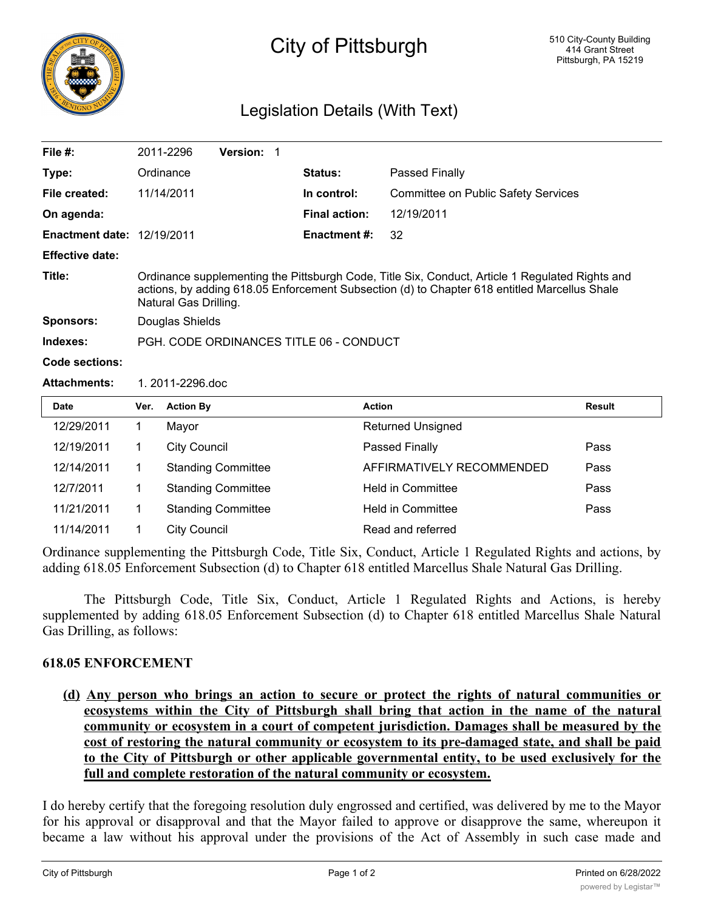

## City of Pittsburgh

## Legislation Details (With Text)

| File $#$ :                        | 2011-2296                                                                                                                                                                                                                | <b>Version:</b> |                      |                                            |  |  |
|-----------------------------------|--------------------------------------------------------------------------------------------------------------------------------------------------------------------------------------------------------------------------|-----------------|----------------------|--------------------------------------------|--|--|
| Type:                             | Ordinance                                                                                                                                                                                                                |                 | <b>Status:</b>       | <b>Passed Finally</b>                      |  |  |
| File created:                     | 11/14/2011                                                                                                                                                                                                               |                 | In control:          | <b>Committee on Public Safety Services</b> |  |  |
| On agenda:                        |                                                                                                                                                                                                                          |                 | <b>Final action:</b> | 12/19/2011                                 |  |  |
| <b>Enactment date: 12/19/2011</b> |                                                                                                                                                                                                                          |                 | Enactment #:         | 32                                         |  |  |
| <b>Effective date:</b>            |                                                                                                                                                                                                                          |                 |                      |                                            |  |  |
| Title:                            | Ordinance supplementing the Pittsburgh Code, Title Six, Conduct, Article 1 Regulated Rights and<br>actions, by adding 618.05 Enforcement Subsection (d) to Chapter 618 entitled Marcellus Shale<br>Natural Gas Drilling. |                 |                      |                                            |  |  |
| <b>Sponsors:</b>                  | Douglas Shields                                                                                                                                                                                                          |                 |                      |                                            |  |  |
| Indexes:                          | PGH, CODE ORDINANCES TITLE 06 - CONDUCT                                                                                                                                                                                  |                 |                      |                                            |  |  |
| Code sections:                    |                                                                                                                                                                                                                          |                 |                      |                                            |  |  |
| <b>Attachments:</b>               | 1.2011-2296.doc                                                                                                                                                                                                          |                 |                      |                                            |  |  |

| <b>Date</b> | Ver. | <b>Action By</b>          | <b>Action</b>             | <b>Result</b> |
|-------------|------|---------------------------|---------------------------|---------------|
| 12/29/2011  |      | Mayor                     | <b>Returned Unsigned</b>  |               |
| 12/19/2011  |      | <b>City Council</b>       | Passed Finally            | Pass          |
| 12/14/2011  |      | <b>Standing Committee</b> | AFFIRMATIVELY RECOMMENDED | Pass          |
| 12/7/2011   |      | <b>Standing Committee</b> | <b>Held in Committee</b>  | Pass          |
| 11/21/2011  |      | <b>Standing Committee</b> | <b>Held in Committee</b>  | Pass          |
| 11/14/2011  |      | <b>City Council</b>       | Read and referred         |               |

Ordinance supplementing the Pittsburgh Code, Title Six, Conduct, Article 1 Regulated Rights and actions, by adding 618.05 Enforcement Subsection (d) to Chapter 618 entitled Marcellus Shale Natural Gas Drilling.

The Pittsburgh Code, Title Six, Conduct, Article 1 Regulated Rights and Actions, is hereby supplemented by adding 618.05 Enforcement Subsection (d) to Chapter 618 entitled Marcellus Shale Natural Gas Drilling, as follows:

## **618.05 ENFORCEMENT**

**(d) Any person who brings an action to secure or protect the rights of natural communities or ecosystems within the City of Pittsburgh shall bring that action in the name of the natural community or ecosystem in a court of competent jurisdiction. Damages shall be measured by the cost of restoring the natural community or ecosystem to its pre-damaged state, and shall be paid to the City of Pittsburgh or other applicable governmental entity, to be used exclusively for the full and complete restoration of the natural community or ecosystem.**

I do hereby certify that the foregoing resolution duly engrossed and certified, was delivered by me to the Mayor for his approval or disapproval and that the Mayor failed to approve or disapprove the same, whereupon it became a law without his approval under the provisions of the Act of Assembly in such case made and